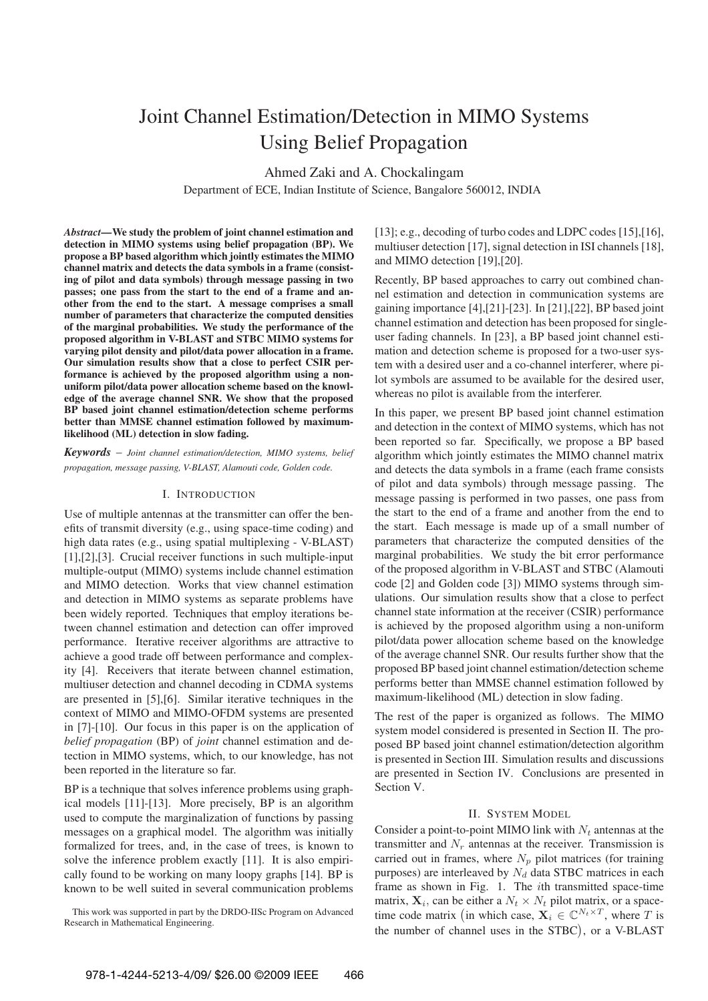# Joint Channel Estimation/Detection in MIMO Systems Using Belief Propagation

Ahmed Zaki and A. Chockalingam

Department of ECE, Indian Institute of Science, Bangalore 560012, INDIA

*Abstract***—We study the problem of joint channel estimation and detection in MIMO systems using belief propagation (BP). We propose a BP based algorithm which jointly estimates the MIMO channel matrix and detects the data symbols in a frame (consisting of pilot and data symbols) through message passing in two passes; one pass from the start to the end of a frame and another from the end to the start. A message comprises a small number of parameters that characterize the computed densities of the marginal probabilities. We study the performance of the proposed algorithm in V-BLAST and STBC MIMO systems for varying pilot density and pilot/data power allocation in a frame. Our simulation results show that a close to perfect CSIR performance is achieved by the proposed algorithm using a nonuniform pilot/data power allocation scheme based on the knowledge of the average channel SNR. We show that the proposed BP based joint channel estimation/detection scheme performs better than MMSE channel estimation followed by maximumlikelihood (ML) detection in slow fading.**

*Keywords* – *Joint channel estimation/detection, MIMO systems, belief propagation, message passing, V-BLAST, Alamouti code, Golden code.*

## I. INTRODUCTION

Use of multiple antennas at the transmitter can offer the benefits of transmit diversity (e.g., using space-time coding) and high data rates (e.g., using spatial multiplexing - V-BLAST) [1],[2],[3]. Crucial receiver functions in such multiple-input multiple-output (MIMO) systems include channel estimation and MIMO detection. Works that view channel estimation and detection in MIMO systems as separate problems have been widely reported. Techniques that employ iterations between channel estimation and detection can offer improved performance. Iterative receiver algorithms are attractive to achieve a good trade off between performance and complexity [4]. Receivers that iterate between channel estimation, multiuser detection and channel decoding in CDMA systems are presented in [5],[6]. Similar iterative techniques in the context of MIMO and MIMO-OFDM systems are presented in [7]-[10]. Our focus in this paper is on the application of *belief propagation* (BP) of *joint* channel estimation and detection in MIMO systems, which, to our knowledge, has not been reported in the literature so far.

BP is a technique that solves inference problems using graphical models [11]-[13]. More precisely, BP is an algorithm used to compute the marginalization of functions by passing messages on a graphical model. The algorithm was initially formalized for trees, and, in the case of trees, is known to solve the inference problem exactly [11]. It is also empirically found to be working on many loopy graphs [14]. BP is known to be well suited in several communication problems

This work was supported in part by the DRDO-IISc Program on Advanced Research in Mathematical Engineering.

[13]; e.g., decoding of turbo codes and LDPC codes [15],[16], multiuser detection [17], signal detection in ISI channels [18], and MIMO detection [19],[20].

Recently, BP based approaches to carry out combined channel estimation and detection in communication systems are gaining importance [4],[21]-[23]. In [21],[22], BP based joint channel estimation and detection has been proposed for singleuser fading channels. In [23], a BP based joint channel estimation and detection scheme is proposed for a two-user system with a desired user and a co-channel interferer, where pilot symbols are assumed to be available for the desired user, whereas no pilot is available from the interferer.

In this paper, we present BP based joint channel estimation and detection in the context of MIMO systems, which has not been reported so far. Specifically, we propose a BP based algorithm which jointly estimates the MIMO channel matrix and detects the data symbols in a frame (each frame consists of pilot and data symbols) through message passing. The message passing is performed in two passes, one pass from the start to the end of a frame and another from the end to the start. Each message is made up of a small number of parameters that characterize the computed densities of the marginal probabilities. We study the bit error performance of the proposed algorithm in V-BLAST and STBC (Alamouti code [2] and Golden code [3]) MIMO systems through simulations. Our simulation results show that a close to perfect channel state information at the receiver (CSIR) performance is achieved by the proposed algorithm using a non-uniform pilot/data power allocation scheme based on the knowledge of the average channel SNR. Our results further show that the proposed BP based joint channel estimation/detection scheme performs better than MMSE channel estimation followed by maximum-likelihood (ML) detection in slow fading.

The rest of the paper is organized as follows. The MIMO system model considered is presented in Section II. The proposed BP based joint channel estimation/detection algorithm is presented in Section III. Simulation results and discussions are presented in Section IV. Conclusions are presented in Section V.

# II. SYSTEM MODEL

Consider a point-to-point MIMO link with  $N_t$  antennas at the transmitter and  $N_r$  antennas at the receiver. Transmission is carried out in frames, where  $N_p$  pilot matrices (for training purposes) are interleaved by  $N_d$  data STBC matrices in each frame as shown in Fig. 1. The ith transmitted space-time matrix,  $X_i$ , can be either a  $N_t \times N_t$  pilot matrix, or a spacetime code matrix (in which case,  $\mathbf{X}_i \in \mathbb{C}^{N_t \times T}$ , where T is the number of channel uses in the STBC , or a V-BLAST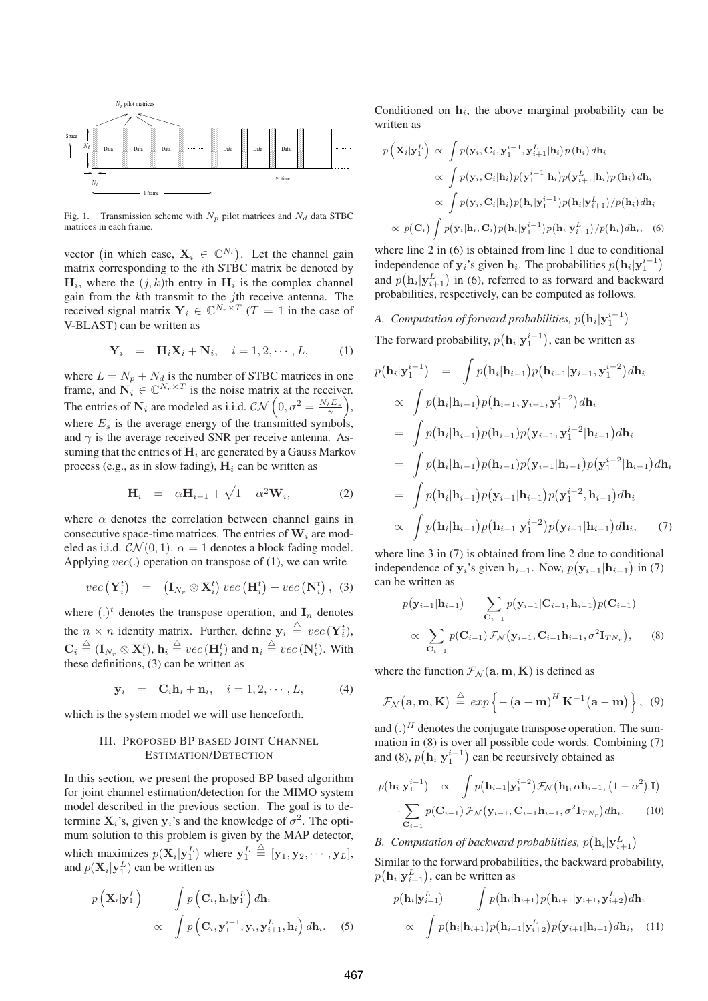

Fig. 1. Transmission scheme with  $N_p$  pilot matrices and  $N_d$  data STBC matrices in each frame.

vector (in which case,  $X_i \in \mathbb{C}^{N_t}$ ). Let the channel gain matrix corresponding to the ith STBC matrix be denoted by  $\mathbf{H}_i$ , where the  $(j, k)$ th entry in  $\mathbf{H}_i$  is the complex channel gain from the  $k$ th transmit to the *j*th receive antenna. The received signal matrix  $Y_i \in \mathbb{C}^{N_r \times T}$  ( $T = 1$  in the case of V-BLAST) can be written as

$$
\mathbf{Y}_i = \mathbf{H}_i \mathbf{X}_i + \mathbf{N}_i, \quad i = 1, 2, \cdots, L,
$$
 (1)

where  $L = N_p + N_d$  is the number of STBC matrices in one frame, and  $\mathbf{N}_i \in \mathbb{C}^{\bar{N}_r \times T}$  is the noise matrix at the receiver. The entries of  $N_i$  are modeled as i.i.d.  $\mathcal{CN}\left(0, \sigma^2 = \frac{N_t E_s}{\gamma}\right)$ , where  $E_s$  is the average energy of the transmitted symbols, and  $\gamma$  is the average received SNR per receive antenna. Assuming that the entries of  $H_i$  are generated by a Gauss Markov process (e.g., as in slow fading),  $H_i$  can be written as

$$
\mathbf{H}_{i} = \alpha \mathbf{H}_{i-1} + \sqrt{1 - \alpha^{2}} \mathbf{W}_{i}, \qquad (2)
$$

where  $\alpha$  denotes the correlation between channel gains in consecutive space-time matrices. The entries of  $W_i$  are modeled as i.i.d.  $CN(0, 1)$ .  $\alpha = 1$  denotes a block fading model. Applying  $vec(.)$  operation on transpose of  $(1)$ , we can write

$$
vec\left(\mathbf{Y}_i^t\right) = \left(\mathbf{I}_{N_r} \otimes \mathbf{X}_i^t\right) vec\left(\mathbf{H}_i^t\right) + vec\left(\mathbf{N}_i^t\right), \quad (3)
$$

where  $(.)^t$  denotes the transpose operation, and  $\mathbf{I}_n$  denotes the  $n \times n$  identity matrix. Further, define  $y_i \triangleq vec(Y_i^t)$ ,  $\mathbf{C}_i \stackrel{\triangle}{=} (\mathbf{I}_{N_r} \otimes \mathbf{X}_i^t), \mathbf{h}_i \stackrel{\triangle}{=} vec(\mathbf{H}_i^t)$  and  $\mathbf{n}_i \stackrel{\triangle}{=} vec(\mathbf{N}_i^t)$ . With these definitions, (3) can be written as

$$
\mathbf{y}_i = \mathbf{C}_i \mathbf{h}_i + \mathbf{n}_i, \quad i = 1, 2, \cdots, L,
$$
 (4)

which is the system model we will use henceforth.

# III. PROPOSED BP BASED JOINT CHANNEL ESTIMATION/DETECTION

In this section, we present the proposed BP based algorithm for joint channel estimation/detection for the MIMO system model described in the previous section. The goal is to determine  $X_i$ 's, given  $y_i$ 's and the knowledge of  $\sigma^2$ . The optimum solution to this problem is given by the MAP detector, which maximizes  $p(\mathbf{X}_i|\mathbf{y}_1^L)$  where  $\mathbf{y}_1^L \stackrel{\triangle}{=} [\mathbf{y}_1, \mathbf{y}_2, \cdots, \mathbf{y}_L],$ and  $p(\mathbf{X}_i|\mathbf{y}_1^L)$  can be written as

$$
p\left(\mathbf{X}_{i}|\mathbf{y}_{1}^{L}\right) = \int p\left(\mathbf{C}_{i}, \mathbf{h}_{i}|\mathbf{y}_{1}^{L}\right) d\mathbf{h}_{i} \propto \int p\left(\mathbf{C}_{i}, \mathbf{y}_{1}^{i-1}, \mathbf{y}_{i}, \mathbf{y}_{i+1}^{L}, \mathbf{h}_{i}\right) d\mathbf{h}_{i}.
$$
 (5)

Conditioned on  $h_i$ , the above marginal probability can be written as

$$
p\left(\mathbf{X}_{i}|\mathbf{y}_{1}^{L}\right) \propto \int p(\mathbf{y}_{i}, \mathbf{C}_{i}, \mathbf{y}_{1}^{i-1}, \mathbf{y}_{i+1}^{L}|\mathbf{h}_{i}) p(\mathbf{h}_{i}) d\mathbf{h}_{i}
$$

$$
\propto \int p(\mathbf{y}_{i}, \mathbf{C}_{i}|\mathbf{h}_{i}) p(\mathbf{y}_{1}^{i-1}|\mathbf{h}_{i}) p(\mathbf{y}_{i+1}^{L}|\mathbf{h}_{i}) p(\mathbf{h}_{i}) d\mathbf{h}_{i}
$$

$$
\propto \int p(\mathbf{y}_{i}, \mathbf{C}_{i}|\mathbf{h}_{i}) p(\mathbf{h}_{i}|\mathbf{y}_{1}^{i-1}) p(\mathbf{h}_{i}|\mathbf{y}_{i+1}^{L}) / p(\mathbf{h}_{i}) d\mathbf{h}_{i}
$$

$$
\propto p(\mathbf{C}_{i}) \int p(\mathbf{y}_{i}|\mathbf{h}_{i}, \mathbf{C}_{i}) p(\mathbf{h}_{i}|\mathbf{y}_{1}^{i-1}) p(\mathbf{h}_{i}|\mathbf{y}_{i+1}^{L}) / p(\mathbf{h}_{i}) d\mathbf{h}_{i}, \quad (6)
$$

where line 2 in (6) is obtained from line 1 due to conditional independence of  $\mathbf{y}_i$ 's given  $\mathbf{h}_i$ . The probabilities  $p(\mathbf{h}_i|\mathbf{y}_1^{i-1})$ and  $p(\mathbf{h}_i|\mathbf{y}_{i+1}^L)$  in (6), referred to as forward and backward probabilities, respectively, can be computed as follows.

*A. Computation of forward probabilities,*  $p(\mathbf{h}_i|\mathbf{y}_1^{i-1})$ The forward probability,  $p(\mathbf{h}_i|\mathbf{y}_1^{i-1})$ , can be written as

$$
p(\mathbf{h}_{i}|\mathbf{y}_{1}^{i-1}) = \int p(\mathbf{h}_{i}|\mathbf{h}_{i-1})p(\mathbf{h}_{i-1}|\mathbf{y}_{i-1}, \mathbf{y}_{1}^{i-2})d\mathbf{h}_{i}
$$
  
\n
$$
\propto \int p(\mathbf{h}_{i}|\mathbf{h}_{i-1})p(\mathbf{h}_{i-1}, \mathbf{y}_{i-1}, \mathbf{y}_{1}^{i-2})d\mathbf{h}_{i}
$$
  
\n
$$
= \int p(\mathbf{h}_{i}|\mathbf{h}_{i-1})p(\mathbf{h}_{i-1})p(\mathbf{y}_{i-1}, \mathbf{y}_{1}^{i-2}|\mathbf{h}_{i-1})d\mathbf{h}_{i}
$$
  
\n
$$
= \int p(\mathbf{h}_{i}|\mathbf{h}_{i-1})p(\mathbf{h}_{i-1})p(\mathbf{y}_{i-1}|\mathbf{h}_{i-1})p(\mathbf{y}_{1}^{i-2}|\mathbf{h}_{i-1})d\mathbf{h}_{i}
$$
  
\n
$$
= \int p(\mathbf{h}_{i}|\mathbf{h}_{i-1})p(\mathbf{y}_{i-1}|\mathbf{h}_{i-1})p(\mathbf{y}_{1}^{i-2}, \mathbf{h}_{i-1})d\mathbf{h}_{i}
$$
  
\n
$$
\propto \int p(\mathbf{h}_{i}|\mathbf{h}_{i-1})p(\mathbf{h}_{i-1}|\mathbf{y}_{1}^{i-2})p(\mathbf{y}_{i-1}|\mathbf{h}_{i-1})d\mathbf{h}_{i}, \qquad (7)
$$

where line 3 in (7) is obtained from line 2 due to conditional independence of  $y_i$ 's given  $h_{i-1}$ . Now,  $p(y_{i-1}|h_{i-1})$  in (7) can be written as

$$
p(\mathbf{y}_{i-1}|\mathbf{h}_{i-1}) = \sum_{\mathbf{C}_{i-1}} p(\mathbf{y}_{i-1}|\mathbf{C}_{i-1}, \mathbf{h}_{i-1}) p(\mathbf{C}_{i-1})
$$
  
 
$$
\propto \sum_{\mathbf{C}_{i-1}} p(\mathbf{C}_{i-1}) \mathcal{F}_{\mathcal{N}}(\mathbf{y}_{i-1}, \mathbf{C}_{i-1} \mathbf{h}_{i-1}, \sigma^2 \mathbf{I}_{TN_r}), \qquad (8)
$$

where the function  $\mathcal{F}_{\mathcal{N}}(\mathbf{a}, \mathbf{m}, \mathbf{K})$  is defined as

$$
\mathcal{F}_{\mathcal{N}}(\mathbf{a}, \mathbf{m}, \mathbf{K}) \stackrel{\triangle}{=} exp \left\{ -(\mathbf{a} - \mathbf{m})^H \mathbf{K}^{-1}(\mathbf{a} - \mathbf{m}) \right\}, \tag{9}
$$

and  $(.)^H$  denotes the conjugate transpose operation. The summation in (8) is over all possible code words. Combining (7) and (8),  $p(\mathbf{h}_i|\mathbf{y}_1^{i-1})$  can be recursively obtained as

$$
p(\mathbf{h}_{i}|\mathbf{y}_{1}^{i-1}) \propto \int p(\mathbf{h}_{i-1}|\mathbf{y}_{1}^{i-2}) \mathcal{F}_{\mathcal{N}}(\mathbf{h}_{i}, \alpha \mathbf{h}_{i-1}, (1-\alpha^{2}) \mathbf{I})
$$

$$
\cdot \sum_{\mathbf{C}_{i-1}} p(\mathbf{C}_{i-1}) \mathcal{F}_{\mathcal{N}}(\mathbf{y}_{i-1}, \mathbf{C}_{i-1} \mathbf{h}_{i-1}, \sigma^{2} \mathbf{I}_{TN_{r}}) d\mathbf{h}_{i}.
$$
 (10)

*B.* Computation of backward probabilities,  $p(\mathbf{h}_i | \mathbf{y}_{i+1}^L)$ 

Similar to the forward probabilities, the backward probability,  $p(\mathbf{h}_i | \mathbf{y}_{i+1}^L)$ , can be written as

$$
p(\mathbf{h}_i|\mathbf{y}_{i+1}^L) = \int p(\mathbf{h}_i|\mathbf{h}_{i+1})p(\mathbf{h}_{i+1}|\mathbf{y}_{i+1},\mathbf{y}_{i+2}^L) d\mathbf{h}_i
$$
  
 
$$
\propto \int p(\mathbf{h}_i|\mathbf{h}_{i+1})p(\mathbf{h}_{i+1}|\mathbf{y}_{i+2}^L)p(\mathbf{y}_{i+1}|\mathbf{h}_{i+1}) d\mathbf{h}_i, \quad (11)
$$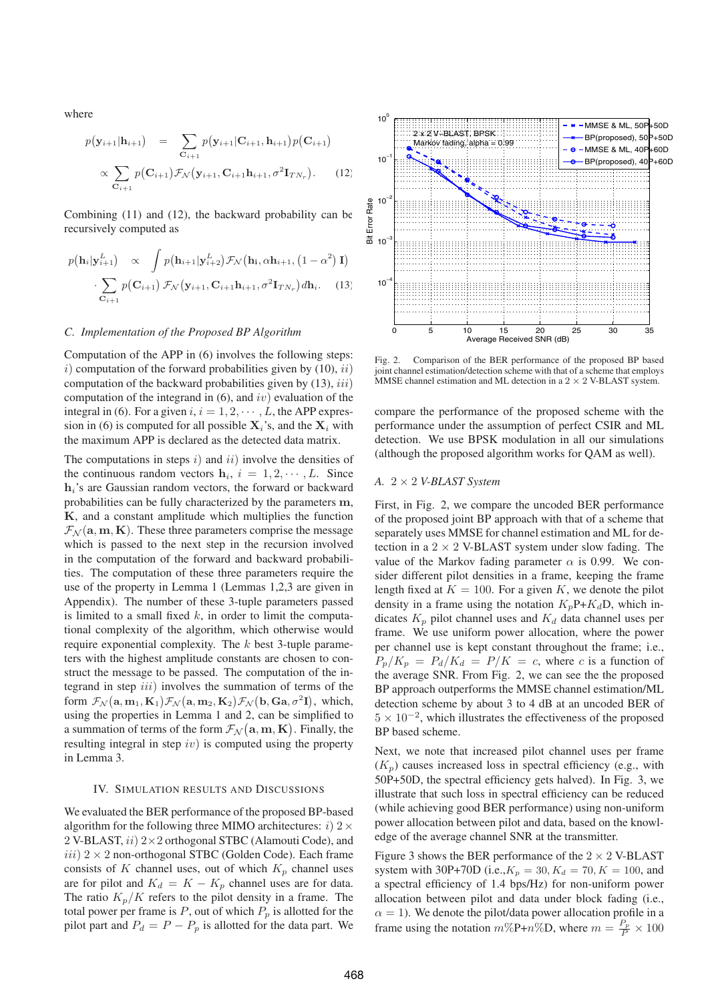where

$$
p(\mathbf{y}_{i+1}|\mathbf{h}_{i+1}) = \sum_{\mathbf{C}_{i+1}} p(\mathbf{y}_{i+1}|\mathbf{C}_{i+1}, \mathbf{h}_{i+1}) p(\mathbf{C}_{i+1})
$$
  
 
$$
\propto \sum_{\mathbf{C}_{i+1}} p(\mathbf{C}_{i+1}) \mathcal{F}_{\mathcal{N}}(\mathbf{y}_{i+1}, \mathbf{C}_{i+1} \mathbf{h}_{i+1}, \sigma^2 \mathbf{I}_{TN_r}). \qquad (12)
$$

Combining  $(11)$  and  $(12)$ , the backward probability can be recursively computed as

$$
p(\mathbf{h}_{i}|\mathbf{y}_{i+1}^{L}) \propto \int p(\mathbf{h}_{i+1}|\mathbf{y}_{i+2}^{L}) \mathcal{F}_{\mathcal{N}}(\mathbf{h}_{i}, \alpha \mathbf{h}_{i+1}, (1-\alpha^{2}) \mathbf{I})
$$

$$
\cdot \sum_{\mathbf{C}_{i+1}} p(\mathbf{C}_{i+1}) \mathcal{F}_{\mathcal{N}}(\mathbf{y}_{i+1}, \mathbf{C}_{i+1} \mathbf{h}_{i+1}, \sigma^{2} \mathbf{I}_{TN_{r}}) d\mathbf{h}_{i}. \quad (13)
$$

## *C. Implementation of the Proposed BP Algorithm*

Computation of the APP in (6) involves the following steps: i) computation of the forward probabilities given by  $(10)$ ,  $ii)$ computation of the backward probabilities given by  $(13)$ ,  $iii)$ computation of the integrand in  $(6)$ , and  $iv$ ) evaluation of the integral in (6). For a given  $i, i = 1, 2, \dots, L$ , the APP expression in (6) is computed for all possible  $X_i$ 's, and the  $X_i$  with the maximum APP is declared as the detected data matrix.

The computations in steps  $i)$  and  $ii)$  involve the densities of the continuous random vectors  $h_i$ ,  $i = 1, 2, \dots, L$ . Since **h**i's are Gaussian random vectors, the forward or backward probabilities can be fully characterized by the parameters **m**, **K**, and a constant amplitude which multiplies the function  $\mathcal{F}_{\mathcal{N}}(\mathbf{a}, \mathbf{m}, \mathbf{K})$ . These three parameters comprise the message which is passed to the next step in the recursion involved in the computation of the forward and backward probabilities. The computation of these three parameters require the use of the property in Lemma 1 (Lemmas 1,2,3 are given in Appendix). The number of these 3-tuple parameters passed is limited to a small fixed  $k$ , in order to limit the computational complexity of the algorithm, which otherwise would require exponential complexity. The  $k$  best 3-tuple parameters with the highest amplitude constants are chosen to construct the message to be passed. The computation of the integrand in step  $iii$ ) involves the summation of terms of the form  $\mathcal{F}_{\mathcal{N}}(\mathbf{a}, \mathbf{m}_1, \mathbf{K}_1) \mathcal{F}_{\mathcal{N}}(\mathbf{a}, \mathbf{m}_2, \mathbf{K}_2) \mathcal{F}_{\mathcal{N}}(\mathbf{b}, \mathbf{G}\mathbf{a}, \sigma^2 \mathbf{I})$ , which, using the properties in Lemma 1 and 2, can be simplified to a summation of terms of the form  $\mathcal{F}_{\mathcal{N}}(\mathbf{a}, \mathbf{m}, \mathbf{K})$ . Finally, the resulting integral in step  $iv$ ) is computed using the property in Lemma 3.

#### IV. SIMULATION RESULTS AND DISCUSSIONS

We evaluated the BER performance of the proposed BP-based algorithm for the following three MIMO architectures: i)  $2 \times$ 2 V-BLAST,  $ii)$   $2 \times 2$  orthogonal STBC (Alamouti Code), and  $iii)$  2 × 2 non-orthogonal STBC (Golden Code). Each frame consists of K channel uses, out of which  $K_p$  channel uses are for pilot and  $K_d = K - K_p$  channel uses are for data. The ratio  $K_p/K$  refers to the pilot density in a frame. The total power per frame is  $P$ , out of which  $P_p$  is allotted for the pilot part and  $P_d = P - P_p$  is allotted for the data part. We



Fig. 2. Comparison of the BER performance of the proposed BP based joint channel estimation/detection scheme with that of a scheme that employs MMSE channel estimation and ML detection in a  $2 \times 2$  V-BLAST system.

compare the performance of the proposed scheme with the performance under the assumption of perfect CSIR and ML detection. We use BPSK modulation in all our simulations (although the proposed algorithm works for QAM as well).

## *A.* 2 × 2 *V-BLAST System*

First, in Fig. 2, we compare the uncoded BER performance of the proposed joint BP approach with that of a scheme that separately uses MMSE for channel estimation and ML for detection in a  $2 \times 2$  V-BLAST system under slow fading. The value of the Markov fading parameter  $\alpha$  is 0.99. We consider different pilot densities in a frame, keeping the frame length fixed at  $K = 100$ . For a given K, we denote the pilot density in a frame using the notation  $K_pP+K_dD$ , which indicates  $K_p$  pilot channel uses and  $K_d$  data channel uses per frame. We use uniform power allocation, where the power per channel use is kept constant throughout the frame; i.e.,  $P_p/K_p = P_d/K_d = P/K = c$ , where c is a function of the average SNR. From Fig. 2, we can see the the proposed BP approach outperforms the MMSE channel estimation/ML detection scheme by about 3 to 4 dB at an uncoded BER of  $5 \times 10^{-2}$ , which illustrates the effectiveness of the proposed BP based scheme.

Next, we note that increased pilot channel uses per frame  $(K_n)$  causes increased loss in spectral efficiency (e.g., with 50P+50D, the spectral efficiency gets halved). In Fig. 3, we illustrate that such loss in spectral efficiency can be reduced (while achieving good BER performance) using non-uniform power allocation between pilot and data, based on the knowledge of the average channel SNR at the transmitter.

Figure 3 shows the BER performance of the  $2 \times 2$  V-BLAST system with 30P+70D (i.e., $K_p = 30$ ,  $K_d = 70$ ,  $K = 100$ , and a spectral efficiency of 1.4 bps/Hz) for non-uniform power allocation between pilot and data under block fading (i.e.,  $\alpha = 1$ ). We denote the pilot/data power allocation profile in a frame using the notation  $m\%P+n\%D$ , where  $m = \frac{P_p}{P} \times 100$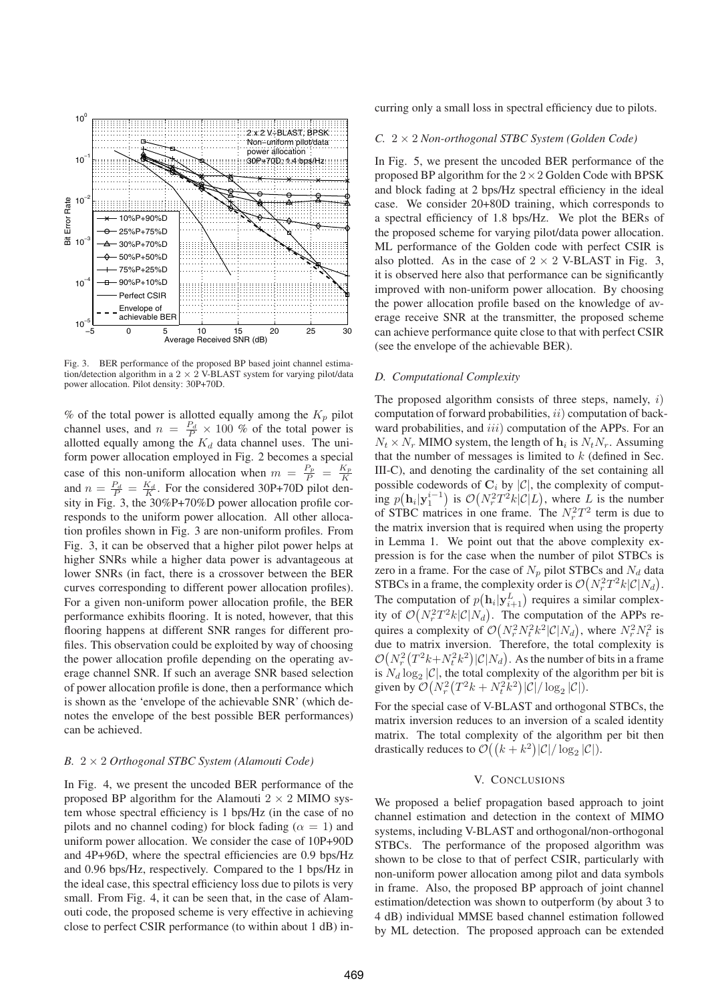

Fig. 3. BER performance of the proposed BP based joint channel estimation/detection algorithm in a  $2 \times 2$  V-BLAST system for varying pilot/data power allocation. Pilot density: 30P+70D.

% of the total power is allotted equally among the  $K_p$  pilot channel uses, and  $n = \frac{P_d}{P} \times 100\%$  of the total power is allotted equally among the  $K_d$  data channel uses. The uniform power allocation employed in Fig. 2 becomes a special case of this non-uniform allocation when  $m = \frac{P_p}{P} = \frac{K_p}{K}$ and  $n = \frac{P_d}{P} = \frac{K_d}{K}$ . For the considered 30P+70D pilot density in Fig. 3, the 30%P+70%D power allocation profile corresponds to the uniform power allocation. All other allocation profiles shown in Fig. 3 are non-uniform profiles. From Fig. 3, it can be observed that a higher pilot power helps at higher SNRs while a higher data power is advantageous at lower SNRs (in fact, there is a crossover between the BER curves corresponding to different power allocation profiles). For a given non-uniform power allocation profile, the BER performance exhibits flooring. It is noted, however, that this flooring happens at different SNR ranges for different profiles. This observation could be exploited by way of choosing the power allocation profile depending on the operating average channel SNR. If such an average SNR based selection of power allocation profile is done, then a performance which is shown as the 'envelope of the achievable SNR' (which denotes the envelope of the best possible BER performances) can be achieved.

# *B.* 2 × 2 *Orthogonal STBC System (Alamouti Code)*

In Fig. 4, we present the uncoded BER performance of the proposed BP algorithm for the Alamouti  $2 \times 2$  MIMO system whose spectral efficiency is 1 bps/Hz (in the case of no pilots and no channel coding) for block fading ( $\alpha = 1$ ) and uniform power allocation. We consider the case of 10P+90D and 4P+96D, where the spectral efficiencies are 0.9 bps/Hz and 0.96 bps/Hz, respectively. Compared to the 1 bps/Hz in the ideal case, this spectral efficiency loss due to pilots is very small. From Fig. 4, it can be seen that, in the case of Alamouti code, the proposed scheme is very effective in achieving close to perfect CSIR performance (to within about 1 dB) incurring only a small loss in spectral efficiency due to pilots.

#### *C.* 2 × 2 *Non-orthogonal STBC System (Golden Code)*

In Fig. 5, we present the uncoded BER performance of the proposed BP algorithm for the  $2 \times 2$  Golden Code with BPSK and block fading at 2 bps/Hz spectral efficiency in the ideal case. We consider 20+80D training, which corresponds to a spectral efficiency of 1.8 bps/Hz. We plot the BERs of the proposed scheme for varying pilot/data power allocation. ML performance of the Golden code with perfect CSIR is also plotted. As in the case of  $2 \times 2$  V-BLAST in Fig. 3, it is observed here also that performance can be significantly improved with non-uniform power allocation. By choosing the power allocation profile based on the knowledge of average receive SNR at the transmitter, the proposed scheme can achieve performance quite close to that with perfect CSIR (see the envelope of the achievable BER).

## *D. Computational Complexity*

The proposed algorithm consists of three steps, namely,  $i$ ) computation of forward probabilities,  $ii)$  computation of backward probabilities, and  $iii$ ) computation of the APPs. For an  $N_t \times N_r$  MIMO system, the length of  $\mathbf{h}_i$  is  $N_tN_r$ . Assuming that the number of messages is limited to  $k$  (defined in Sec. III-C), and denoting the cardinality of the set containing all possible codewords of  $C_i$  by  $|C|$ , the complexity of comput- $\lim_{n \to \infty} p(\mathbf{h}_i | \mathbf{y}_1^{i-1})$  is  $\mathcal{O}(N_r^2 T^2 k | \mathcal{C}|L)$ , where L is the number of STBC matrices in one frame. The  $N_r^2T^2$  term is due to the matrix inversion that is required when using the property in Lemma 1. We point out that the above complexity expression is for the case when the number of pilot STBCs is zero in a frame. For the case of  $N_p$  pilot STBCs and  $N_d$  data STBCs in a frame, the complexity order is  $\mathcal{O}(N_r^2T^2k|\mathcal{C}|N_d)$ . The computation of  $p(\mathbf{h}_i | \mathbf{y}_{i+1}^L)$  requires a similar complexity of  $\mathcal{O}(N_r^2 T^2 k |\mathcal{C}| N_d)$ . The computation of the APPs requires a complexity of  $\mathcal{O}(N_r^2 N_t^2 k^2 |\mathcal{C}| N_d)$ , where  $N_r^2 N_t^2$  is due to matrix inversion. Therefore, the total complexity is  $\mathcal{O}(N_r^2(T^2k+N_t^2k^2)|C|N_d)$ . As the number of bits in a frame is  $N_d \log_2 |\mathcal{C}|$ , the total complexity of the algorithm per bit is given by  $\mathcal{O}(N_r^2(T^2k + N_t^2k^2)|\mathcal{C}|/\log_2 |\mathcal{C}|)$ .

For the special case of V-BLAST and orthogonal STBCs, the matrix inversion reduces to an inversion of a scaled identity matrix. The total complexity of the algorithm per bit then drastically reduces to  $\mathcal{O}((k + k^2)|C|/\log_2 |\mathcal{C}|)$ .

#### V. CONCLUSIONS

We proposed a belief propagation based approach to joint channel estimation and detection in the context of MIMO systems, including V-BLAST and orthogonal/non-orthogonal STBCs. The performance of the proposed algorithm was shown to be close to that of perfect CSIR, particularly with non-uniform power allocation among pilot and data symbols in frame. Also, the proposed BP approach of joint channel estimation/detection was shown to outperform (by about 3 to 4 dB) individual MMSE based channel estimation followed by ML detection. The proposed approach can be extended